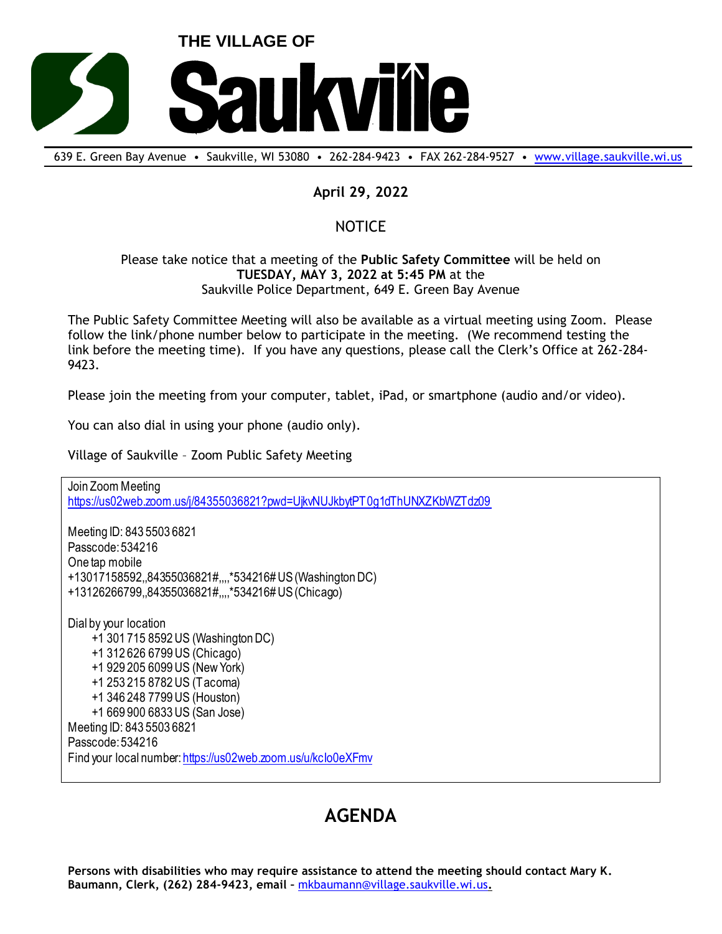

639 E. Green Bay Avenue • Saukville, WI 53080 • 262-284-9423 • FAX 262-284-9527 • [www.village.saukville.wi.us](http://www.village.saukville.wi.us/)

## **April 29, 2022**

## NOTICE

## Please take notice that a meeting of the **Public Safety Committee** will be held on **TUESDAY, MAY 3, 2022 at 5:45 PM** at the Saukville Police Department, 649 E. Green Bay Avenue

The Public Safety Committee Meeting will also be available as a virtual meeting using Zoom. Please follow the link/phone number below to participate in the meeting. (We recommend testing the link before the meeting time). If you have any questions, please call the Clerk's Office at 262-284- 9423.

Please join the meeting from your computer, tablet, iPad, or smartphone (audio and/or video).

You can also dial in using your phone (audio only).

Village of Saukville – Zoom Public Safety Meeting

Join Zoom Meeting https://us02web.zoom.us/j/84355036821?pwd=UjkvNUJkbytPT0g1dThUNXZKbWZTdz09 Meeting ID: 843 5503 6821 Passcode: 534216 One tap mobile +13017158592,,84355036821#,,,,\*534216# US (Washington DC) +13126266799,,84355036821#,,,,\*534216# US (Chicago) Dial by your location +1 301 715 8592 US (Washington DC) +1 312 626 6799 US (Chicago) +1 929 205 6099 US (New York) +1 253 215 8782 US (Tacoma) +1 346 248 7799 US (Houston) +1 669 900 6833 US (San Jose) Meeting ID: 843 5503 6821 Passcode: 534216 Find your local number: https://us02web.zoom.us/u/kcIo0eXFmv

## **AGENDA**